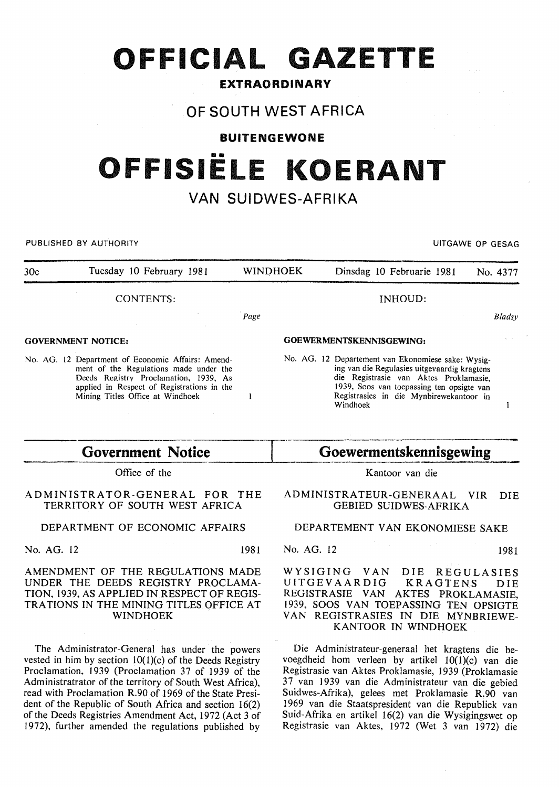# **OFFICIAL GAZETTE**

### **EXTRAORDINARY**

# **OF SOUTH WEST AFRICA**

**BUITENGEWONE** 

# **OFFISIELE KOERANT**

# **VAN SUIDWES-AFRIKA**

PUBLISHED BY AUTHORITY **EXECUTE A SECURE 2018 THE SECULIAR SECURE 2019 THE SECURE 2019 THE SECURE 2019 THE SECURE 2019** 30c Tuesday 10 February 1981 WINO HOEK Dinsdag 10 Februarie 19.81 No. 4377 CONTENTS: INHOUD: Page *Bladsy*  GOEWERMENTSKENNISGEWING: GOVERNMENT NOTICE: No. AG. 12 Departement van Ekonomiese sake: Wysig-No. AG. 12 Department of Economic Affairs: Amending van die Regulasies uitgevaardig kragtens ment of the Regulations made under the die Registrasie van Aktes Proklamasie, Deeds Registry Proclamation, 1939, As applied in Respect of Registrations in the 1939, Soos van toepassing ten opsigte van Mining Titles Office at Windhoek Registrasies in die Mynbirewekantoor in  $\mathbf{1}$ Windhoek  $\mathbf{I}$ 

Office of the

#### ADMINISTRATOR-GENERAL FOR THE TERRITORY OF SOUTH WEST AFRICA

### DEPARTMENT OF ECONOMIC AFFAIRS

No. AG. 12 1981

#### AMENDMENT OF THE REGULATIONS MADE UNDER THE DEEDS REGISTRY PROCLAMA-TION, 1939, AS APPLIED IN RESPECT OF REGIS-TRATIONS IN THE MINING TITLES OFFICE AT WINDHOEK

The Administrator-General has under the powers vested in him by section  $10(1)(c)$  of the Deeds Registry Proclamation, 1939 (Proclamation 37 of 1939 of the Administratrator of the territory of South West Africa), read with Proclamation R.90 of 1969 of the State President of the Republic of South Africa and section 16(2) of the Deeds Registries Amendment Act, 1972 (Act 3 of 1972), further amended the regulations published by

## Government Notice **Goewermentskennisgewing**

Kantoor van die

ADMINISTRATEUR-GENERAAL VIR DIE GEBIED SUIDWES-AFRIKA

#### DEPARTEMENT VAN EKONOMIESE SAKE

No. AG. 12 1981

WYSIGING VAN DIE REGULASIES<br>UITGEVAARDIG KRAGTENS DIE UITGEVAARDIG KRAGTENS DIE REGISTRASIE VAN AKTES PROKLAMASIE, 1939, SOOS VAN TOEPASSING TEN OPSIGTE VAN REGISTRASIES IN DIE MYNBRIEWE-KANTOOR IN WINDHOEK

Die Administrateur-generaal het kragtens die bevoegdheid hom verleen by artikel  $10(1)(c)$  van die Registrasie van Aktes Proklamasie, 1939 (Proklamasie 37 van 1939 van die Administrateur van die gebied Suidwes-Afrika), gelees met Proklamasie R.90 van 1969 van die Staatspresident van die Republiek van Suid-Afrika en artikel 16(2) van die Wysigingswet op Registrasie van Aktes, 1972 (Wet 3 van 1972) die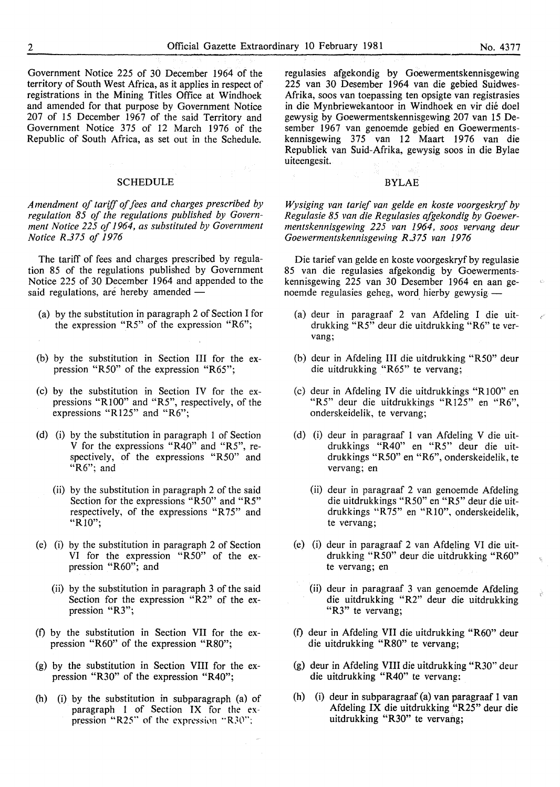Government Notice 225 of 30 December 1964 of the territory of South West Africa, as it applies in respect of registrations in the Mining Titles Office at Windhoek and amended for that purpose by Government Notice 207 of 15 December 1967 of the said Territory and Government Notice 375 of 12 March 1976 of the Republic of South Africa, as set out in the Schedule.

#### SCHEDULE

*Amendment of tariff of fees and charges prescribed by regulation 85 of the regulations published by Government Notice 225 of 1964, as substituted by Government Notice R.375 of 1976* 

The tariff of fees and charges prescribed by regulation 85 of the regulations published by Government Notice 225 of 30 December 1964 and appended to the said regulations, are hereby amended -

- (a) by the substitution in paragraph 2 of Section I for the expression "R5" of the expression "R6";
- (b) by the substitution in Section III for the expression "R50" of the expression "R65";
- (c) by the substitution in Section IV for the expressions "RIOO" and "R5", respectively, of the expressions "R125" and "R6";
- (d) (i) by the substitution in paragraph 1 of Section V for the expressions "R40" and "R5", respectively, of the expressions "R50" and "R6"; and
	- (ii) by the substitution in paragraph 2 of the said Section for the expressions "R50" and "R5" respectively, of the expressions "R75" and "RIO";
- (e) (i) by the substitution in paragraph 2 of Section VI for the expression "R50" of the expression "R60"; and
	- (ii) by the substitution in paragraph 3 of the said Section for the expression "R2" of the expression "R3";
- (f) by the substitution in Section VII for the expression "R60" of the expression "R80";
- (g) by the substitution in Section VIII for the expression "R30" of the expression "R40";
- {h) (i) by the substitution in subparagraph (a) of paragraph 1 of Section IX for the expression "R25" of the expression "R30";

regulasies afgekondig by Goewermentskennisgewing 225 van 30 Desember 1964 van die gebied Suidwes-Afrika, soos van toepassing ten opsigte van registrasies in die Mynbriewekantoor in Windhoek en vir die doel gewysig by Goewermentskennisgewing 207 van 15 Desember 1967 van genoemde gebied en Goewermentskennisgewing 375 van 12 Maart 1976 van die Republiek van Suid-Afrika, gewysig soos in die Bylae uiteengesit.

#### BYLAE

*Wysiging van tarief van gelde en koste voorgeskryf by Regulasie 85 van die Regulasies afgekondig by Goewermentskennisgewing 225 van 1964, soos vervang deur Goewermentskennisgewing R.375 van 1976* 

Die tarief van gelde en koste voorgeskryf by regulasie 85 van die regulasies afgekondig by Goewermentskennisgewing 225 van 30 Desember 1964 en aan genoemde regulasies geheg, word. hierby gewysig -

- (a) deur in paragraaf 2 van Afdeling I die uitdrukking "R5" deur die uitdrukking "R6" te vervang;
- (b) deur in Afdeling III die uitdrukking "R50" deur die uitdrukking "R65" te vervang;
- (c) deur in Afdeling IV die uitdrukkings "RlOO" en "R5" deur die uitdrukkings "R125" en "R6", onderskeidelik, te vervang;
- (d) (i) deur in paragraaf 1 van Afdeling V die uitdrukkings "R40" en "R5" deur die uitdrukkings "R50" en "R6", onderskeidelik, te vervang; en
	- (ii) deur in paragraaf 2 van genoemde Afdeling die uitdrukkings "R50" en "R5" deur die uitdrukkings "R75" en "RIO", onderskeidelik, te vervang;
- (e) (i) deur in paragraaf 2 van Afdeling VI die uitdrukking "R50" deur die uitdrukking "R60" te vervang; en
	- (ii) deur in paragraaf 3 van genoemde Afdeling die uitdrukking "R2" deur die uitdrukking "R3" te vervang;
- (f) deur in Afdeling VII die uitdrukking "R60" deur die uitdrukking "R80" te vervang;
- (g) deur in Afdeling VIII die uitdrukking "R30" deur die uitdrukking "R40" te vervang:
- (h) (i) deur in subparagraaf (a) van paragraaf 1 van Afdeling IX die uitdrukking "R25" deur die uitdrukking "R30" te vervang;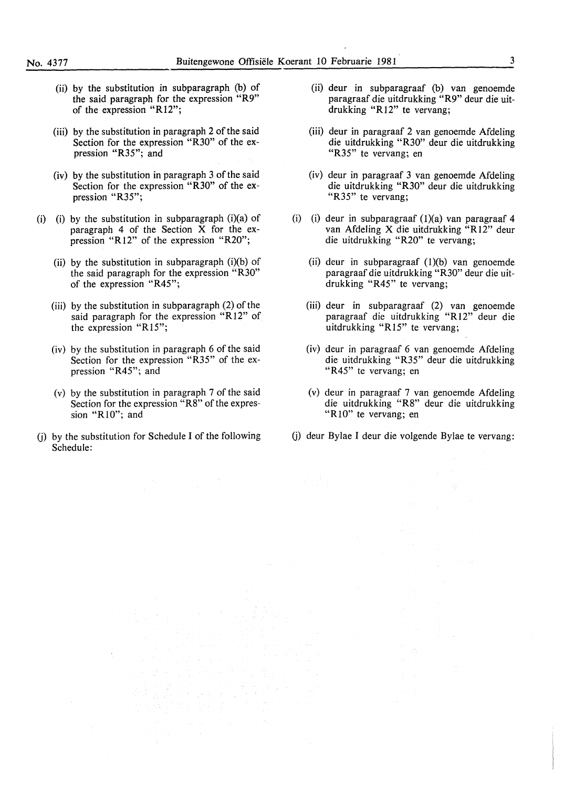- (ii) by the substitution in subparagraph (b) of the said. paragraph for the expression "R9" of the expression "R 12";
- (iii) by the substitution in paragraph 2 of the said Section for the expression "R30" of the expression "R35"; and
- (iv) by the substitution in paragraph 3 of the said Section for the expression "R30" of the expression "R35";
- (i) (i) by the substitution in subparagraph (i)(a) of paragraph 4 of the Section X for the expression "Rl2" of the expression "R20";
	- (ii) by the substitution in subparagraph  $(i)(b)$  of the said paragraph for the expression "R30" of the expression "R45";
	- (iii) by the substitution in subparagraph (2) of the said paragraph for the expression "R12" of the expression "R15";
	- $(iv)$  by the substitution in paragraph 6 of the said Section for the expression "R35" of the expression "R45"; and
	- (v) by the substitution in paragraph 7 of the said Section for the expression "R8" of the expression " $R10$ "; and

년 중국의<br>요소 기초국소 최고 양이 나라 소리가 되었다.

 $\sim 30$ 

(j) by the substitution for Schedule I of the following Schedule:

- (ii) deur in subparagraaf (b) van genoemde paragraaf die uitdrukking "R9" deur die uitdrukking "R12" te vervang;
- (iii) deur in paragraaf 2 van genoemde Afdeling die uitdrukking "R30" deur die uitdrukking "R35" te vervang; en
- (iv) deur in paragraaf 3 van genoemde Afdeling die uitdrukking "R30" deur die uitdrukking "R35" te vervang;
- (i) (i) deur in subparagraaf  $(1)(a)$  van paragraaf 4 van Afdeling X die uitdrukking "R12" deur die uitdrukking "R20" te vervang;
	- (ii) deur in subparagraaf  $(1)(b)$  van genoemde paragraaf die uitdrukking "R30" deur die uitdrukking "R45" te vervang;
	- (iii) deur in subparagraaf (2) van genoemde paragraaf die uitdrukking "R12" deur die uitdrukking "Rl5" te vervang;
	- (iv) deur in paragraaf 6 van genoemde Afdeling die uitdrukking "R35" deur die uitdrukking "R45" te vervang; en
	- (v) deur in paragraaf 7 van genoemde Afdeling die uitdrukking "R8" deur die uitdrukking "R10" te vervang; en
- G) deur Bylae I deur die volgende Bylae te vervang: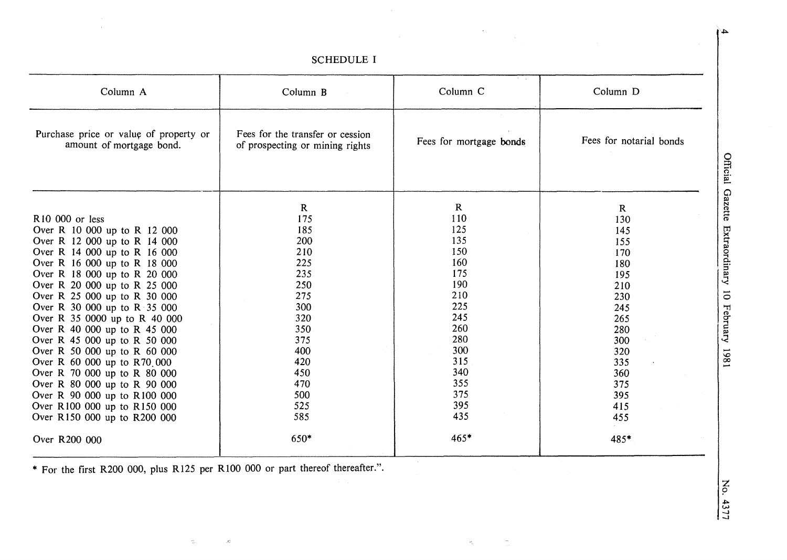| Column A                                                           | Column B                                                            | Column C                | Column D                |
|--------------------------------------------------------------------|---------------------------------------------------------------------|-------------------------|-------------------------|
| Purchase price or value of property or<br>amount of mortgage bond. | Fees for the transfer or cession<br>of prospecting or mining rights | Fees for mortgage bonds | Fees for notarial bonds |
|                                                                    | $\mathbf R$                                                         | $\mathbf R$             | $\mathbf{R}$            |
| R10 000 or less                                                    | 175                                                                 | 110                     | 130                     |
| Over R 10 000 up to R 12 000                                       | 185                                                                 | 125                     | 145                     |
| Over R 12 000 up to R 14 000                                       | 200                                                                 | 135                     | 155                     |
| Over R 14 000 up to R 16 000                                       | 210                                                                 | 150                     | 170                     |
| Over R 16 000 up to R 18 000                                       | 225                                                                 | 160                     | 180                     |
| Over R 18 000 up to R 20 000                                       | 235                                                                 | 175                     | 195                     |
| Over R 20 000 up to R 25 000                                       | 250                                                                 | 190                     | 210                     |
| Over R 25 000 up to R 30 000                                       | 275                                                                 | 210                     | 230                     |
| Over R 30 000 up to $R \dot{3}5000$                                | 300                                                                 | 225                     | 245                     |
| Over R 35 0000 up to R 40 000                                      | 320                                                                 | 245                     | 265                     |
| Over R 40 000 up to R 45 000                                       | 350                                                                 | 260                     | 280                     |
| Over R 45 000 up to R 50 000                                       | 375                                                                 | 280                     | 300                     |
| Over R 50 000 up to R 60 000                                       | 400                                                                 | 300                     | 320                     |
| Over R 60 000 up to R70 000                                        | 420                                                                 | 315                     | 335                     |
| Over R 70 000 up to R 80 000                                       | 450                                                                 | 340                     | 360                     |
| Over R 80 000 up to R 90 000                                       | 470                                                                 | 355                     | 375                     |
| Over R 90 000 up to R100 000                                       | 500                                                                 | 375                     | 395                     |
| Over R100 000 up to R150 000                                       | 525                                                                 | 395                     | 415                     |
| Over R150 000 up to R200 000                                       | 585                                                                 | 435                     | 455                     |
| Over R200 000                                                      | 650*                                                                | $465*$                  | 485*                    |

**SCHEDULE I** 

 $\mathcal{H}^{\pm}$ 

\* For the first R200 000, plus R125 per R100 000 or part thereof thereafter.".

 $\mathcal{A}^{\mathcal{C}}_{\mu\nu}$ 

 $\gamma_{\rm p}$ 

Official Gazette Extraordinary 10 February 1981

No. 4377

 $\blacktriangle$